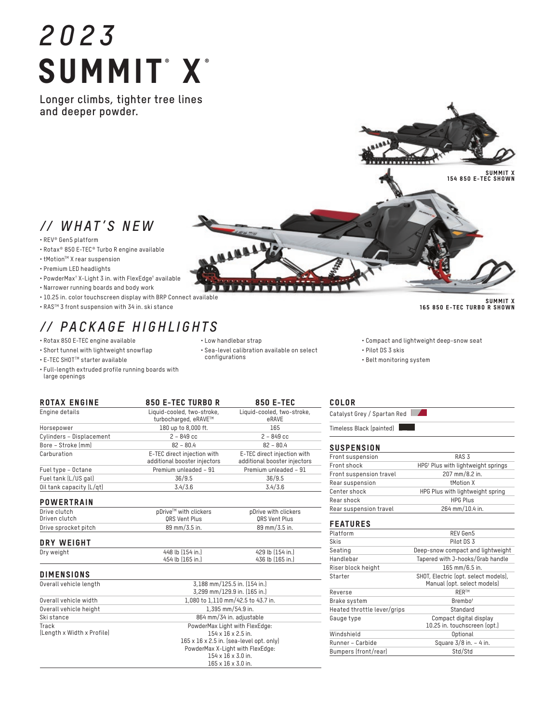# *2023* SUMMIT®X®

**Longer climbs, tighter tree lines and deeper powder.**

## *// WHAT'S NEW*

• REV® Gen5 platform

- Rotax® 850 E-TEC® Turbo R engine available
- tMotion™ X rear suspension
- Premium LED headlights
- PowderMax† X-Light 3 in. with FlexEdge† available
- Narrower running boards and body work
- 10.25 in. color touchscreen display with BRP Connect available
- RASTM 3 front suspension with 34 in. ski stance

## *// PACKAGE HIGHLIGHTS*

- Rotax 850 E-TEC engine available
- Short tunnel with lightweight snowflap
- E-TEC SHOTTM starter available
- Full-length extruded profile running boards with large openings

Catalyst Grey / Spartan Red

| Front suspension        | RAS <sub>3</sub>                               |  |  |
|-------------------------|------------------------------------------------|--|--|
| Front shock             | HPG <sup>†</sup> Plus with lightweight springs |  |  |
| Front suspension travel | 207 mm/8.2 in.                                 |  |  |
| Rear suspension         | <b>tMotion X</b>                               |  |  |
| Center shock            | HPG Plus with lightweight spring               |  |  |
| Rear shock              | <b>HPG Plus</b>                                |  |  |
| Rear suspension travel  | 264 mm/10.4 in.                                |  |  |

#### FEATURES

| Platform                    | REV Gen5                                                            |  |  |
|-----------------------------|---------------------------------------------------------------------|--|--|
| Skis                        | Pilot DS 3                                                          |  |  |
| Seating                     | Deep-snow compact and lightweight                                   |  |  |
| Handlebar                   | Tapered with J-hooks/Grab handle                                    |  |  |
| Riser block height          | 165 mm/6.5 in.                                                      |  |  |
| Starter                     | SHOT, Electric (opt. select models),<br>Manual (opt. select models) |  |  |
| Reverse                     | <b>RER™</b>                                                         |  |  |
| Brake system                | Brembo <sup>t</sup>                                                 |  |  |
| Heated throttle lever/grips | Standard                                                            |  |  |
| Gauge type                  | Compact digital display<br>10.25 in. touchscreen (opt.)             |  |  |
| Windshield                  | Optional                                                            |  |  |
| Runner - Carbide            | Square $3/8$ in. $-4$ in.                                           |  |  |
| Bumpers (front/rear)        | Std/Std                                                             |  |  |

#### SUMMIT X 165 850 E-TEC TURBO R SHOWN

• Compact and lightweight deep-snow seat

• Belt monitoring system



mm

n T

|                                   | additional booster injectors | additional booster injecto |
|-----------------------------------|------------------------------|----------------------------|
| Fuel type - Octane                | Premium unleaded - 91        | Premium unleaded - 91      |
| Fuel tank (L/US gal)              | 36/9.5                       | 36/9.5                     |
| Oil tank capacity (L/qt)          | 3.4/3.6                      | 3.4/3.6                    |
| <b>POWERTRAIN</b><br>Drive clutch | pDrive™ with clickers        | pDrive with clickers       |
| Driven clutch                     | ORS Vent Plus                | <b>ORS Vent Plus</b>       |
| Drive sprocket pitch              | 89 mm/3.5 in.                | 89 mm/3.5 in.              |
| DRY WEIGHT                        |                              |                            |
| _ _ _ _                           |                              |                            |

| <b>DIMENSIONS</b> |                  |                  |
|-------------------|------------------|------------------|
|                   | 454 lb (165 in.) | 436 lb (165 in.) |
| Dry weight        | 448 lb (154 in.) | 429 lb (154 in.) |

| Overall vehicle length     | 3.188 mm/125.5 in. (154 in.)                         |  |  |
|----------------------------|------------------------------------------------------|--|--|
|                            | 3.299 mm/129.9 in. (165 in.)                         |  |  |
| Overall vehicle width      | 1,080 to 1,110 mm/42.5 to 43.7 in.                   |  |  |
| Overall vehicle height     | $1.395$ mm/54.9 in.                                  |  |  |
| Ski stance                 | 864 mm/34 in. adjustable                             |  |  |
| Track                      | PowderMax Light with FlexEdge:                       |  |  |
| (Length x Width x Profile) | $154 \times 16 \times 2.5$ in.                       |  |  |
|                            | $165 \times 16 \times 2.5$ in. [sea-level opt. only] |  |  |
|                            | PowderMax X-Light with FlexEdge:                     |  |  |
|                            | 154 x 16 x 3.0 in.                                   |  |  |
|                            | $165 \times 16 \times 3.0$ in.                       |  |  |